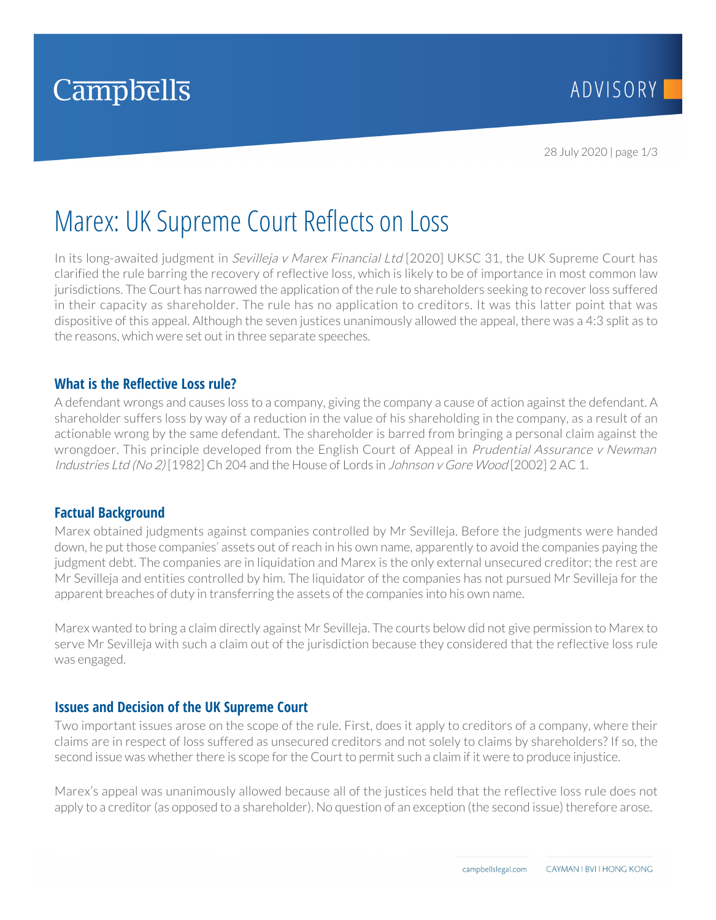

# Marex: UK Supreme Court Reflects on Loss

In its long-awaited judgment in *Sevilleja v Marex Financial Ltd* [2020] UKSC 31, the UK Supreme Court has clarified the rule barring the recovery of reflective loss, which is likely to be of importance in most common law jurisdictions. The Court has narrowed the application of the rule to shareholders seeking to recover loss suffered in their capacity as shareholder. The rule has no application to creditors. It was this latter point that was dispositive of this appeal. Although the seven justices unanimously allowed the appeal, there was a 4:3 split as to the reasons, which were set out in three separate speeches.

### **What is the Reflective Loss rule?**

A defendant wrongs and causes loss to a company, giving the company a cause of action against the defendant. A shareholder suffers loss by way of a reduction in the value of his shareholding in the company, as a result of an actionable wrong by the same defendant. The shareholder is barred from bringing a personal claim against the wrongdoer. This principle developed from the English Court of Appeal in *Prudential Assurance v Newman* Industries Ltd (No 2) [1982] Ch 204 and the House of Lords in Johnson v Gore Wood [2002] 2 AC 1.

#### **Factual Background**

Marex obtained judgments against companies controlled by Mr Sevilleja. Before the judgments were handed down, he put those companies' assets out of reach in his own name, apparently to avoid the companies paying the judgment debt. The companies are in liquidation and Marex is the only external unsecured creditor; the rest are Mr Sevilleja and entities controlled by him. The liquidator of the companies has not pursued Mr Sevilleja for the apparent breaches of duty in transferring the assets of the companies into his own name.

Marex wanted to bring a claim directly against Mr Sevilleja. The courts below did not give permission to Marex to serve Mr Sevilleja with such a claim out of the jurisdiction because they considered that the reflective loss rule was engaged.

## **Issues and Decision of the UK Supreme Court**

Two important issues arose on the scope of the rule. First, does it apply to creditors of a company, where their claims are in respect of loss suffered as unsecured creditors and not solely to claims by shareholders? If so, the second issue was whether there is scope for the Court to permit such a claim if it were to produce injustice.

Marex's appeal was unanimously allowed because all of the justices held that the reflective loss rule does not apply to a creditor (as opposed to a shareholder). No question of an exception (the second issue) therefore arose.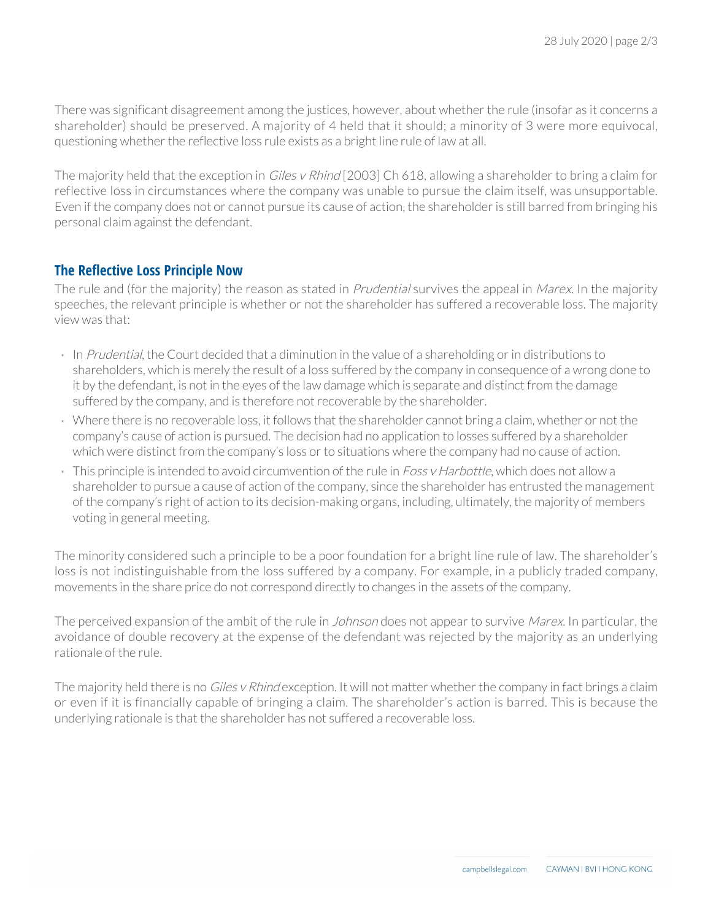There was significant disagreement among the justices, however, about whether the rule (insofar as it concerns a shareholder) should be preserved. A majority of 4 held that it should; a minority of 3 were more equivocal, questioning whether the reflective loss rule exists as a bright line rule of law at all.

The majority held that the exception in *Giles v Rhind* [2003] Ch 618, allowing a shareholder to bring a claim for reflective loss in circumstances where the company was unable to pursue the claim itself, was unsupportable. Even if the company does not or cannot pursue its cause of action, the shareholder is still barred from bringing his personal claim against the defendant.

## **The Reflective Loss Principle Now**

The rule and (for the majority) the reason as stated in *Prudential* survives the appeal in *Marex*. In the majority speeches, the relevant principle is whether or not the shareholder has suffered a recoverable loss. The majority view was that:

- In Prudential, the Court decided that a diminution in the value of a shareholding or in distributions to shareholders, which is merely the result of a loss suffered by the company in consequence of a wrong done to it by the defendant, is not in the eyes of the law damage which is separate and distinct from the damage suffered by the company, and is therefore not recoverable by the shareholder.
- Where there is no recoverable loss, it follows that the shareholder cannot bring a claim, whether or not the company's cause of action is pursued. The decision had no application to losses suffered by a shareholder which were distinct from the company's loss or to situations where the company had no cause of action.
- This principle is intended to avoid circumvention of the rule in Foss v Harbottle, which does not allow a shareholder to pursue a cause of action of the company, since the shareholder has entrusted the management of the company's right of action to its decision-making organs, including, ultimately, the majority of members voting in general meeting.

The minority considered such a principle to be a poor foundation for a bright line rule of law. The shareholder's loss is not indistinguishable from the loss suffered by a company. For example, in a publicly traded company, movements in the share price do not correspond directly to changes in the assets of the company.

The perceived expansion of the ambit of the rule in *Johnson* does not appear to survive *Marex*. In particular, the avoidance of double recovery at the expense of the defendant was rejected by the majority as an underlying rationale of the rule.

The majority held there is no Giles v Rhind exception. It will not matter whether the company in fact brings a claim or even if it is financially capable of bringing a claim. The shareholder's action is barred. This is because the underlying rationale is that the shareholder has not suffered a recoverable loss.